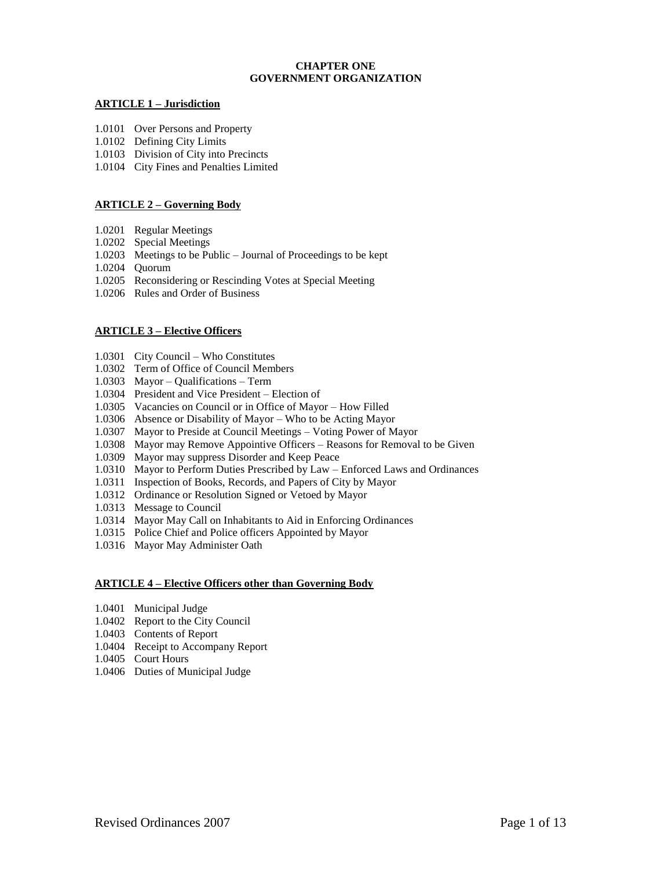# **CHAPTER ONE GOVERNMENT ORGANIZATION**

# **ARTICLE 1 – Jurisdiction**

- 1.0101 Over Persons and Property
- 1.0102 Defining City Limits
- 1.0103 Division of City into Precincts
- 1.0104 City Fines and Penalties Limited

# **ARTICLE 2 – Governing Body**

- 1.0201 Regular Meetings
- 1.0202 Special Meetings
- 1.0203 Meetings to be Public Journal of Proceedings to be kept
- 1.0204 Quorum
- 1.0205 Reconsidering or Rescinding Votes at Special Meeting
- 1.0206 Rules and Order of Business

# **ARTICLE 3 – Elective Officers**

- 1.0301 City Council Who Constitutes
- 1.0302 Term of Office of Council Members
- 1.0303 Mayor Qualifications Term
- 1.0304 President and Vice President Election of
- 1.0305 Vacancies on Council or in Office of Mayor How Filled
- 1.0306 Absence or Disability of Mayor Who to be Acting Mayor
- 1.0307 Mayor to Preside at Council Meetings Voting Power of Mayor
- 1.0308 Mayor may Remove Appointive Officers Reasons for Removal to be Given
- 1.0309 Mayor may suppress Disorder and Keep Peace
- 1.0310 Mayor to Perform Duties Prescribed by Law Enforced Laws and Ordinances
- 1.0311 Inspection of Books, Records, and Papers of City by Mayor
- 1.0312 Ordinance or Resolution Signed or Vetoed by Mayor
- 1.0313 Message to Council
- 1.0314 Mayor May Call on Inhabitants to Aid in Enforcing Ordinances
- 1.0315 Police Chief and Police officers Appointed by Mayor
- 1.0316 Mayor May Administer Oath

### **ARTICLE 4 – Elective Officers other than Governing Body**

- 1.0401 Municipal Judge
- 1.0402 Report to the City Council
- 1.0403 Contents of Report
- 1.0404 Receipt to Accompany Report
- 1.0405 Court Hours
- 1.0406 Duties of Municipal Judge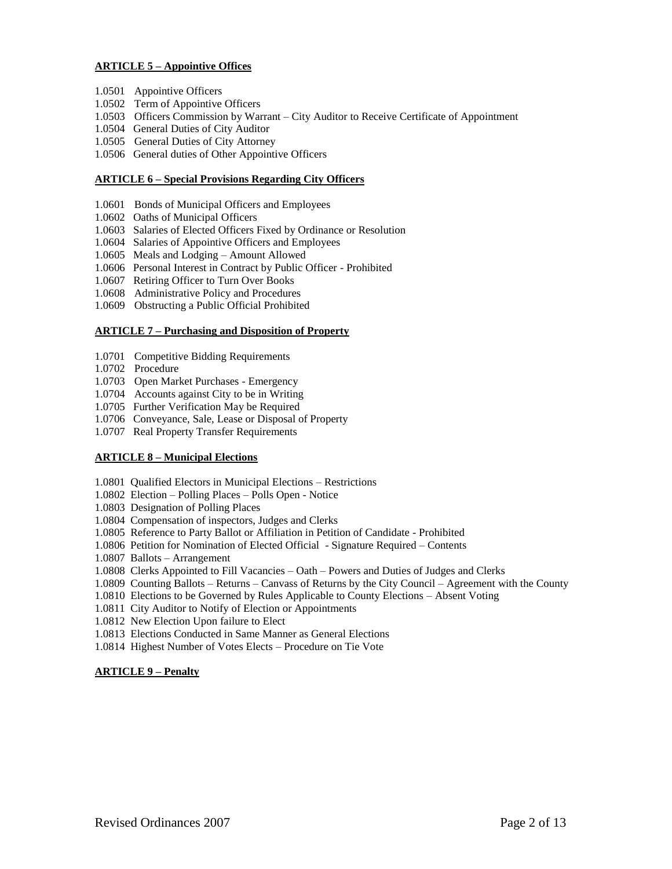# **ARTICLE 5 – Appointive Offices**

- 1.0501 Appointive Officers
- 1.0502 Term of Appointive Officers
- 1.0503 Officers Commission by Warrant City Auditor to Receive Certificate of Appointment
- 1.0504 General Duties of City Auditor
- 1.0505 General Duties of City Attorney
- 1.0506 General duties of Other Appointive Officers

## **ARTICLE 6 – Special Provisions Regarding City Officers**

- 1.0601 Bonds of Municipal Officers and Employees
- 1.0602 Oaths of Municipal Officers
- 1.0603 Salaries of Elected Officers Fixed by Ordinance or Resolution
- 1.0604 Salaries of Appointive Officers and Employees
- 1.0605 Meals and Lodging Amount Allowed
- 1.0606 Personal Interest in Contract by Public Officer Prohibited
- 1.0607 Retiring Officer to Turn Over Books
- 1.0608 Administrative Policy and Procedures
- 1.0609 Obstructing a Public Official Prohibited

## **ARTICLE 7 – Purchasing and Disposition of Property**

- 1.0701 Competitive Bidding Requirements
- 1.0702 Procedure
- 1.0703 Open Market Purchases Emergency
- 1.0704 Accounts against City to be in Writing
- 1.0705 Further Verification May be Required
- 1.0706 Conveyance, Sale, Lease or Disposal of Property
- 1.0707 Real Property Transfer Requirements

# **ARTICLE 8 – Municipal Elections**

- 1.0801 Qualified Electors in Municipal Elections Restrictions
- 1.0802 Election Polling Places Polls Open Notice
- 1.0803 Designation of Polling Places
- 1.0804 Compensation of inspectors, Judges and Clerks
- 1.0805 Reference to Party Ballot or Affiliation in Petition of Candidate Prohibited
- 1.0806 Petition for Nomination of Elected Official Signature Required Contents
- 1.0807 Ballots Arrangement
- 1.0808 Clerks Appointed to Fill Vacancies Oath Powers and Duties of Judges and Clerks
- 1.0809 Counting Ballots Returns Canvass of Returns by the City Council Agreement with the County
- 1.0810 Elections to be Governed by Rules Applicable to County Elections Absent Voting
- 1.0811 City Auditor to Notify of Election or Appointments
- 1.0812 New Election Upon failure to Elect
- 1.0813 Elections Conducted in Same Manner as General Elections
- 1.0814 Highest Number of Votes Elects Procedure on Tie Vote

# **ARTICLE 9 – Penalty**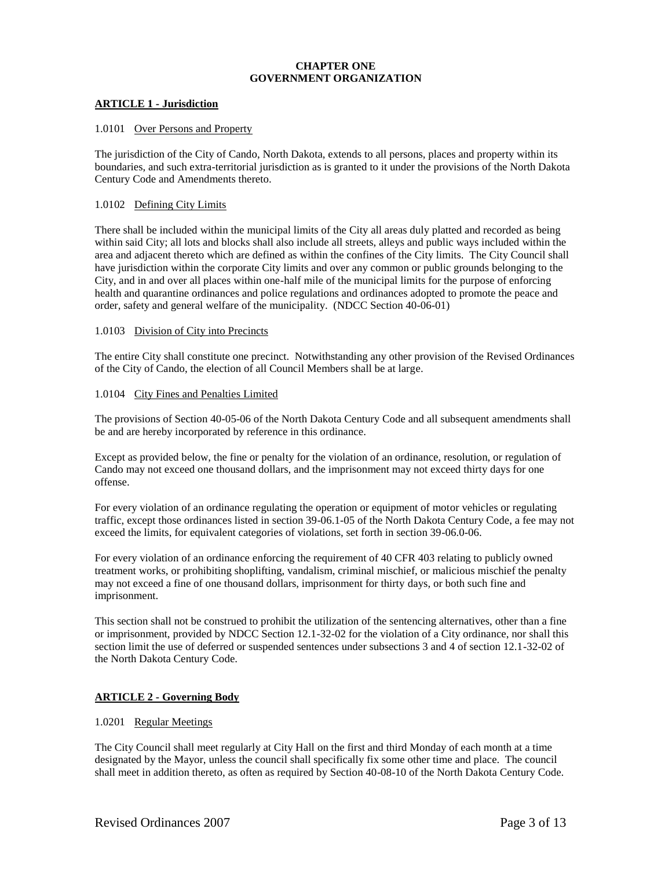# **CHAPTER ONE GOVERNMENT ORGANIZATION**

## **ARTICLE 1 - Jurisdiction**

## 1.0101 Over Persons and Property

The jurisdiction of the City of Cando, North Dakota, extends to all persons, places and property within its boundaries, and such extra-territorial jurisdiction as is granted to it under the provisions of the North Dakota Century Code and Amendments thereto.

## 1.0102 Defining City Limits

There shall be included within the municipal limits of the City all areas duly platted and recorded as being within said City; all lots and blocks shall also include all streets, alleys and public ways included within the area and adjacent thereto which are defined as within the confines of the City limits. The City Council shall have jurisdiction within the corporate City limits and over any common or public grounds belonging to the City, and in and over all places within one-half mile of the municipal limits for the purpose of enforcing health and quarantine ordinances and police regulations and ordinances adopted to promote the peace and order, safety and general welfare of the municipality. (NDCC Section 40-06-01)

### 1.0103 Division of City into Precincts

The entire City shall constitute one precinct. Notwithstanding any other provision of the Revised Ordinances of the City of Cando, the election of all Council Members shall be at large.

## 1.0104 City Fines and Penalties Limited

The provisions of Section 40-05-06 of the North Dakota Century Code and all subsequent amendments shall be and are hereby incorporated by reference in this ordinance.

Except as provided below, the fine or penalty for the violation of an ordinance, resolution, or regulation of Cando may not exceed one thousand dollars, and the imprisonment may not exceed thirty days for one offense.

For every violation of an ordinance regulating the operation or equipment of motor vehicles or regulating traffic, except those ordinances listed in section 39-06.1-05 of the North Dakota Century Code, a fee may not exceed the limits, for equivalent categories of violations, set forth in section 39-06.0-06.

For every violation of an ordinance enforcing the requirement of 40 CFR 403 relating to publicly owned treatment works, or prohibiting shoplifting, vandalism, criminal mischief, or malicious mischief the penalty may not exceed a fine of one thousand dollars, imprisonment for thirty days, or both such fine and imprisonment.

This section shall not be construed to prohibit the utilization of the sentencing alternatives, other than a fine or imprisonment, provided by NDCC Section 12.1-32-02 for the violation of a City ordinance, nor shall this section limit the use of deferred or suspended sentences under subsections 3 and 4 of section 12.1-32-02 of the North Dakota Century Code.

# **ARTICLE 2 - Governing Body**

# 1.0201 Regular Meetings

The City Council shall meet regularly at City Hall on the first and third Monday of each month at a time designated by the Mayor, unless the council shall specifically fix some other time and place. The council shall meet in addition thereto, as often as required by Section 40-08-10 of the North Dakota Century Code.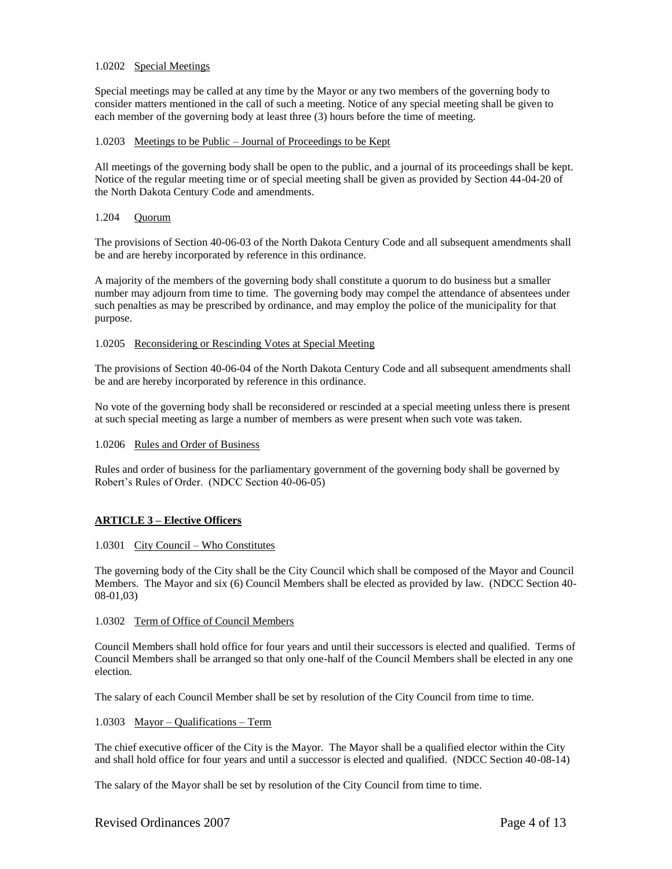## 1.0202 Special Meetings

Special meetings may be called at any time by the Mayor or any two members of the governing body to consider matters mentioned in the call of such a meeting. Notice of any special meeting shall be given to each member of the governing body at least three (3) hours before the time of meeting.

### 1.0203 Meetings to be Public – Journal of Proceedings to be Kept

All meetings of the governing body shall be open to the public, and a journal of its proceedings shall be kept. Notice of the regular meeting time or of special meeting shall be given as provided by Section 44-04-20 of the North Dakota Century Code and amendments.

### 1.204 Quorum

The provisions of Section 40-06-03 of the North Dakota Century Code and all subsequent amendments shall be and are hereby incorporated by reference in this ordinance.

A majority of the members of the governing body shall constitute a quorum to do business but a smaller number may adjourn from time to time. The governing body may compel the attendance of absentees under such penalties as may be prescribed by ordinance, and may employ the police of the municipality for that purpose.

## 1.0205 Reconsidering or Rescinding Votes at Special Meeting

The provisions of Section 40-06-04 of the North Dakota Century Code and all subsequent amendments shall be and are hereby incorporated by reference in this ordinance.

No vote of the governing body shall be reconsidered or rescinded at a special meeting unless there is present at such special meeting as large a number of members as were present when such vote was taken.

### 1.0206 Rules and Order of Business

Rules and order of business for the parliamentary government of the governing body shall be governed by Robert's Rules of Order. (NDCC Section 40-06-05)

# **ARTICLE 3 – Elective Officers**

### 1.0301 City Council – Who Constitutes

The governing body of the City shall be the City Council which shall be composed of the Mayor and Council Members. The Mayor and six (6) Council Members shall be elected as provided by law. (NDCC Section 40- 08-01,03)

### 1.0302 Term of Office of Council Members

Council Members shall hold office for four years and until their successors is elected and qualified. Terms of Council Members shall be arranged so that only one-half of the Council Members shall be elected in any one election.

The salary of each Council Member shall be set by resolution of the City Council from time to time.

### 1.0303 Mayor – Qualifications – Term

The chief executive officer of the City is the Mayor. The Mayor shall be a qualified elector within the City and shall hold office for four years and until a successor is elected and qualified. (NDCC Section 40-08-14)

The salary of the Mayor shall be set by resolution of the City Council from time to time.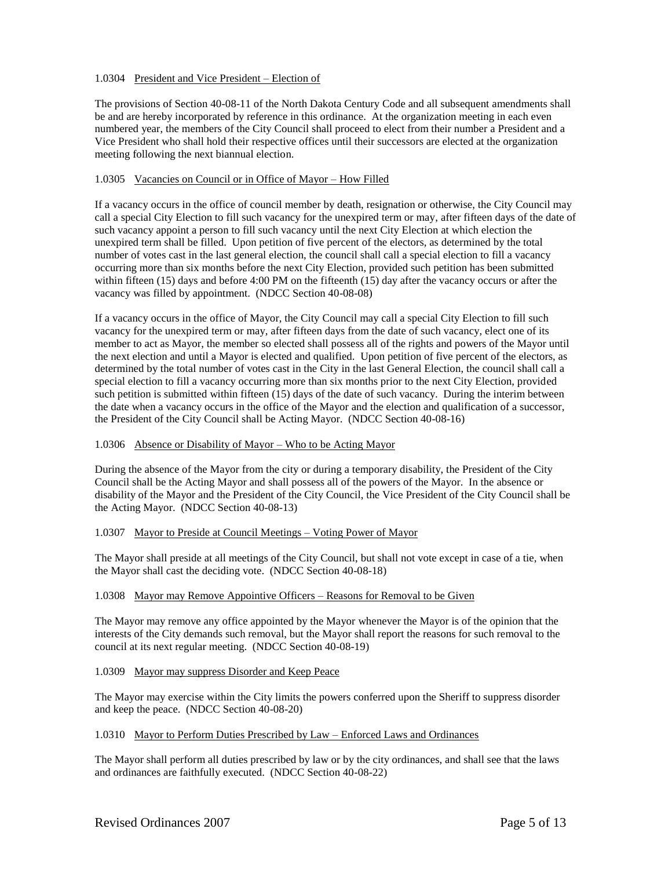# 1.0304 President and Vice President – Election of

The provisions of Section 40-08-11 of the North Dakota Century Code and all subsequent amendments shall be and are hereby incorporated by reference in this ordinance. At the organization meeting in each even numbered year, the members of the City Council shall proceed to elect from their number a President and a Vice President who shall hold their respective offices until their successors are elected at the organization meeting following the next biannual election.

## 1.0305 Vacancies on Council or in Office of Mayor – How Filled

If a vacancy occurs in the office of council member by death, resignation or otherwise, the City Council may call a special City Election to fill such vacancy for the unexpired term or may, after fifteen days of the date of such vacancy appoint a person to fill such vacancy until the next City Election at which election the unexpired term shall be filled. Upon petition of five percent of the electors, as determined by the total number of votes cast in the last general election, the council shall call a special election to fill a vacancy occurring more than six months before the next City Election, provided such petition has been submitted within fifteen (15) days and before 4:00 PM on the fifteenth (15) day after the vacancy occurs or after the vacancy was filled by appointment. (NDCC Section 40-08-08)

If a vacancy occurs in the office of Mayor, the City Council may call a special City Election to fill such vacancy for the unexpired term or may, after fifteen days from the date of such vacancy, elect one of its member to act as Mayor, the member so elected shall possess all of the rights and powers of the Mayor until the next election and until a Mayor is elected and qualified. Upon petition of five percent of the electors, as determined by the total number of votes cast in the City in the last General Election, the council shall call a special election to fill a vacancy occurring more than six months prior to the next City Election, provided such petition is submitted within fifteen (15) days of the date of such vacancy. During the interim between the date when a vacancy occurs in the office of the Mayor and the election and qualification of a successor, the President of the City Council shall be Acting Mayor. (NDCC Section 40-08-16)

### 1.0306 Absence or Disability of Mayor – Who to be Acting Mayor

During the absence of the Mayor from the city or during a temporary disability, the President of the City Council shall be the Acting Mayor and shall possess all of the powers of the Mayor. In the absence or disability of the Mayor and the President of the City Council, the Vice President of the City Council shall be the Acting Mayor. (NDCC Section 40-08-13)

### 1.0307 Mayor to Preside at Council Meetings – Voting Power of Mayor

The Mayor shall preside at all meetings of the City Council, but shall not vote except in case of a tie, when the Mayor shall cast the deciding vote. (NDCC Section 40-08-18)

# 1.0308 Mayor may Remove Appointive Officers – Reasons for Removal to be Given

The Mayor may remove any office appointed by the Mayor whenever the Mayor is of the opinion that the interests of the City demands such removal, but the Mayor shall report the reasons for such removal to the council at its next regular meeting. (NDCC Section 40-08-19)

### 1.0309 Mayor may suppress Disorder and Keep Peace

The Mayor may exercise within the City limits the powers conferred upon the Sheriff to suppress disorder and keep the peace. (NDCC Section 40-08-20)

### 1.0310 Mayor to Perform Duties Prescribed by Law – Enforced Laws and Ordinances

The Mayor shall perform all duties prescribed by law or by the city ordinances, and shall see that the laws and ordinances are faithfully executed. (NDCC Section 40-08-22)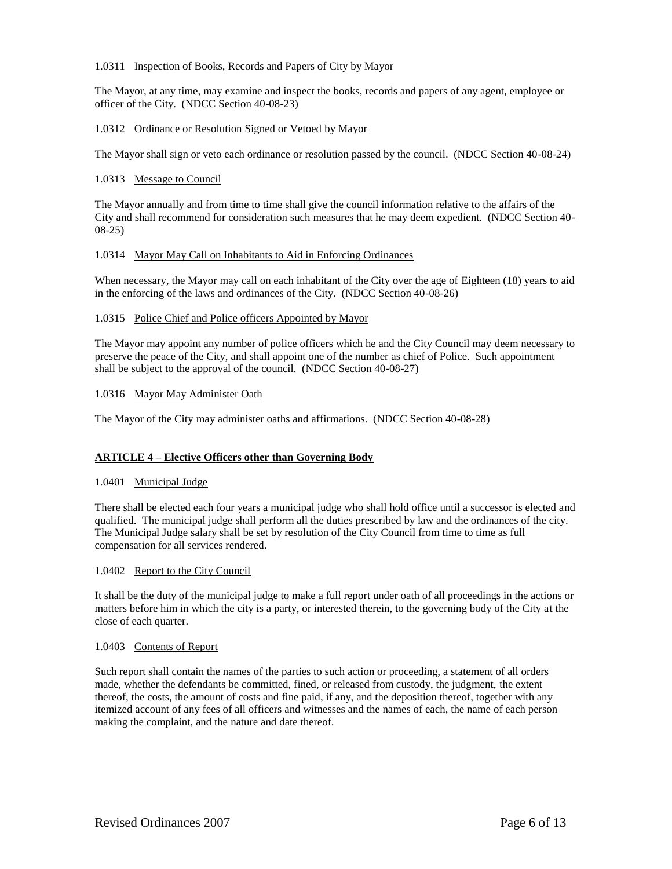## 1.0311 Inspection of Books, Records and Papers of City by Mayor

The Mayor, at any time, may examine and inspect the books, records and papers of any agent, employee or officer of the City. (NDCC Section 40-08-23)

### 1.0312 Ordinance or Resolution Signed or Vetoed by Mayor

The Mayor shall sign or veto each ordinance or resolution passed by the council. (NDCC Section 40-08-24)

### 1.0313 Message to Council

The Mayor annually and from time to time shall give the council information relative to the affairs of the City and shall recommend for consideration such measures that he may deem expedient. (NDCC Section 40- 08-25)

## 1.0314 Mayor May Call on Inhabitants to Aid in Enforcing Ordinances

When necessary, the Mayor may call on each inhabitant of the City over the age of Eighteen (18) years to aid in the enforcing of the laws and ordinances of the City. (NDCC Section 40-08-26)

## 1.0315 Police Chief and Police officers Appointed by Mayor

The Mayor may appoint any number of police officers which he and the City Council may deem necessary to preserve the peace of the City, and shall appoint one of the number as chief of Police. Such appointment shall be subject to the approval of the council. (NDCC Section 40-08-27)

### 1.0316 Mayor May Administer Oath

The Mayor of the City may administer oaths and affirmations. (NDCC Section 40-08-28)

# **ARTICLE 4 – Elective Officers other than Governing Body**

## 1.0401 Municipal Judge

There shall be elected each four years a municipal judge who shall hold office until a successor is elected and qualified. The municipal judge shall perform all the duties prescribed by law and the ordinances of the city. The Municipal Judge salary shall be set by resolution of the City Council from time to time as full compensation for all services rendered.

### 1.0402 Report to the City Council

It shall be the duty of the municipal judge to make a full report under oath of all proceedings in the actions or matters before him in which the city is a party, or interested therein, to the governing body of the City at the close of each quarter.

### 1.0403 Contents of Report

Such report shall contain the names of the parties to such action or proceeding, a statement of all orders made, whether the defendants be committed, fined, or released from custody, the judgment, the extent thereof, the costs, the amount of costs and fine paid, if any, and the deposition thereof, together with any itemized account of any fees of all officers and witnesses and the names of each, the name of each person making the complaint, and the nature and date thereof.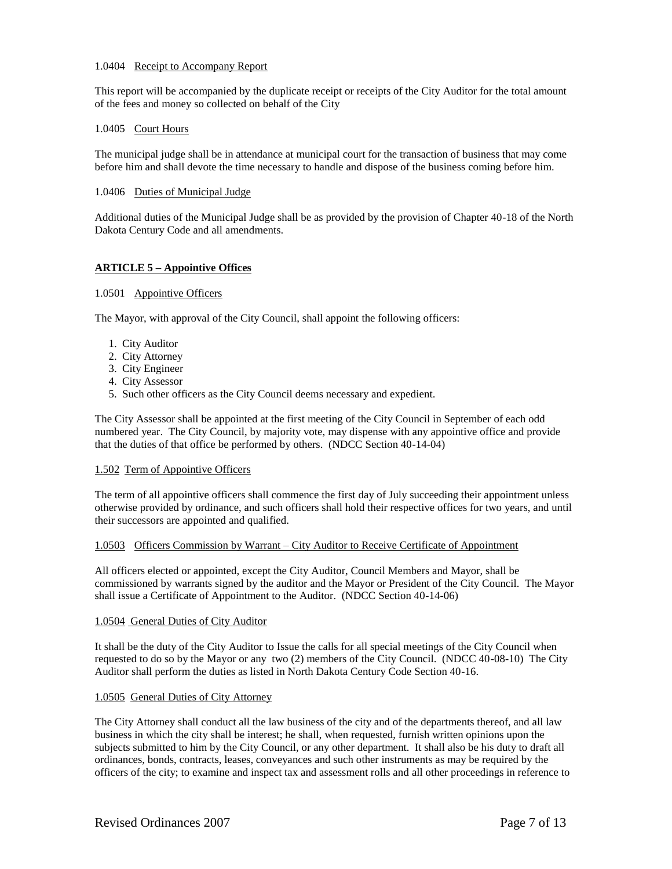### 1.0404 Receipt to Accompany Report

This report will be accompanied by the duplicate receipt or receipts of the City Auditor for the total amount of the fees and money so collected on behalf of the City

## 1.0405 Court Hours

The municipal judge shall be in attendance at municipal court for the transaction of business that may come before him and shall devote the time necessary to handle and dispose of the business coming before him.

### 1.0406 Duties of Municipal Judge

Additional duties of the Municipal Judge shall be as provided by the provision of Chapter 40-18 of the North Dakota Century Code and all amendments.

# **ARTICLE 5 – Appointive Offices**

## 1.0501 Appointive Officers

The Mayor, with approval of the City Council, shall appoint the following officers:

- 1. City Auditor
- 2. City Attorney
- 3. City Engineer
- 4. City Assessor
- 5. Such other officers as the City Council deems necessary and expedient.

The City Assessor shall be appointed at the first meeting of the City Council in September of each odd numbered year. The City Council, by majority vote, may dispense with any appointive office and provide that the duties of that office be performed by others. (NDCC Section 40-14-04)

## 1.502 Term of Appointive Officers

The term of all appointive officers shall commence the first day of July succeeding their appointment unless otherwise provided by ordinance, and such officers shall hold their respective offices for two years, and until their successors are appointed and qualified.

### 1.0503 Officers Commission by Warrant – City Auditor to Receive Certificate of Appointment

All officers elected or appointed, except the City Auditor, Council Members and Mayor, shall be commissioned by warrants signed by the auditor and the Mayor or President of the City Council. The Mayor shall issue a Certificate of Appointment to the Auditor. (NDCC Section 40-14-06)

### 1.0504 General Duties of City Auditor

It shall be the duty of the City Auditor to Issue the calls for all special meetings of the City Council when requested to do so by the Mayor or any two (2) members of the City Council. (NDCC 40-08-10) The City Auditor shall perform the duties as listed in North Dakota Century Code Section 40-16.

### 1.0505 General Duties of City Attorney

The City Attorney shall conduct all the law business of the city and of the departments thereof, and all law business in which the city shall be interest; he shall, when requested, furnish written opinions upon the subjects submitted to him by the City Council, or any other department. It shall also be his duty to draft all ordinances, bonds, contracts, leases, conveyances and such other instruments as may be required by the officers of the city; to examine and inspect tax and assessment rolls and all other proceedings in reference to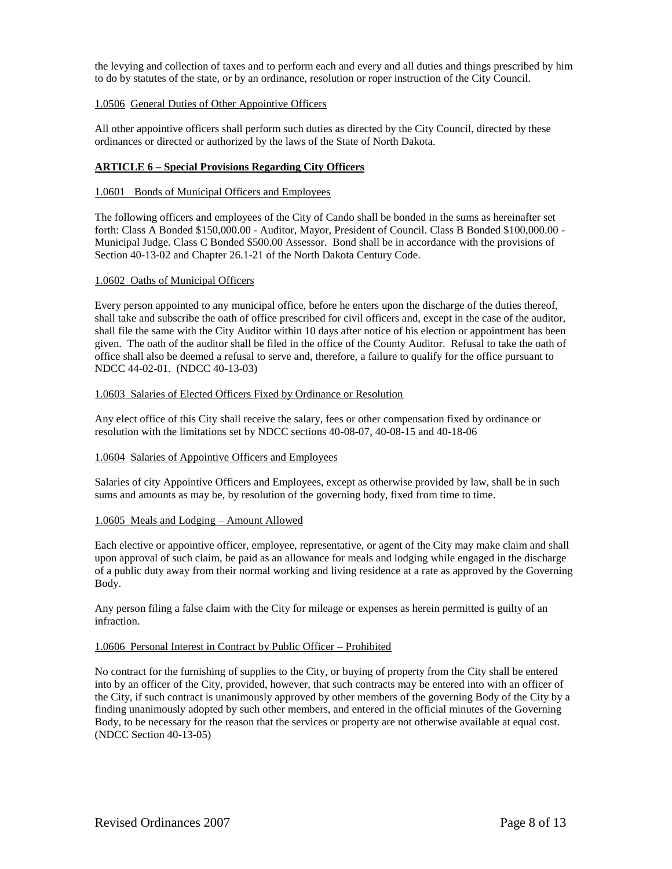the levying and collection of taxes and to perform each and every and all duties and things prescribed by him to do by statutes of the state, or by an ordinance, resolution or roper instruction of the City Council.

## 1.0506 General Duties of Other Appointive Officers

All other appointive officers shall perform such duties as directed by the City Council, directed by these ordinances or directed or authorized by the laws of the State of North Dakota.

# **ARTICLE 6 – Special Provisions Regarding City Officers**

### 1.0601 Bonds of Municipal Officers and Employees

The following officers and employees of the City of Cando shall be bonded in the sums as hereinafter set forth: Class A Bonded \$150,000.00 - Auditor, Mayor, President of Council. Class B Bonded \$100,000.00 - Municipal Judge. Class C Bonded \$500.00 Assessor. Bond shall be in accordance with the provisions of Section 40-13-02 and Chapter 26.1-21 of the North Dakota Century Code.

### 1.0602 Oaths of Municipal Officers

Every person appointed to any municipal office, before he enters upon the discharge of the duties thereof, shall take and subscribe the oath of office prescribed for civil officers and, except in the case of the auditor, shall file the same with the City Auditor within 10 days after notice of his election or appointment has been given. The oath of the auditor shall be filed in the office of the County Auditor. Refusal to take the oath of office shall also be deemed a refusal to serve and, therefore, a failure to qualify for the office pursuant to NDCC 44-02-01. (NDCC 40-13-03)

### 1.0603 Salaries of Elected Officers Fixed by Ordinance or Resolution

Any elect office of this City shall receive the salary, fees or other compensation fixed by ordinance or resolution with the limitations set by NDCC sections 40-08-07, 40-08-15 and 40-18-06

### 1.0604 Salaries of Appointive Officers and Employees

Salaries of city Appointive Officers and Employees, except as otherwise provided by law, shall be in such sums and amounts as may be, by resolution of the governing body, fixed from time to time.

### 1.0605 Meals and Lodging – Amount Allowed

Each elective or appointive officer, employee, representative, or agent of the City may make claim and shall upon approval of such claim, be paid as an allowance for meals and lodging while engaged in the discharge of a public duty away from their normal working and living residence at a rate as approved by the Governing Body.

Any person filing a false claim with the City for mileage or expenses as herein permitted is guilty of an infraction.

### 1.0606 Personal Interest in Contract by Public Officer – Prohibited

No contract for the furnishing of supplies to the City, or buying of property from the City shall be entered into by an officer of the City, provided, however, that such contracts may be entered into with an officer of the City, if such contract is unanimously approved by other members of the governing Body of the City by a finding unanimously adopted by such other members, and entered in the official minutes of the Governing Body, to be necessary for the reason that the services or property are not otherwise available at equal cost. (NDCC Section 40-13-05)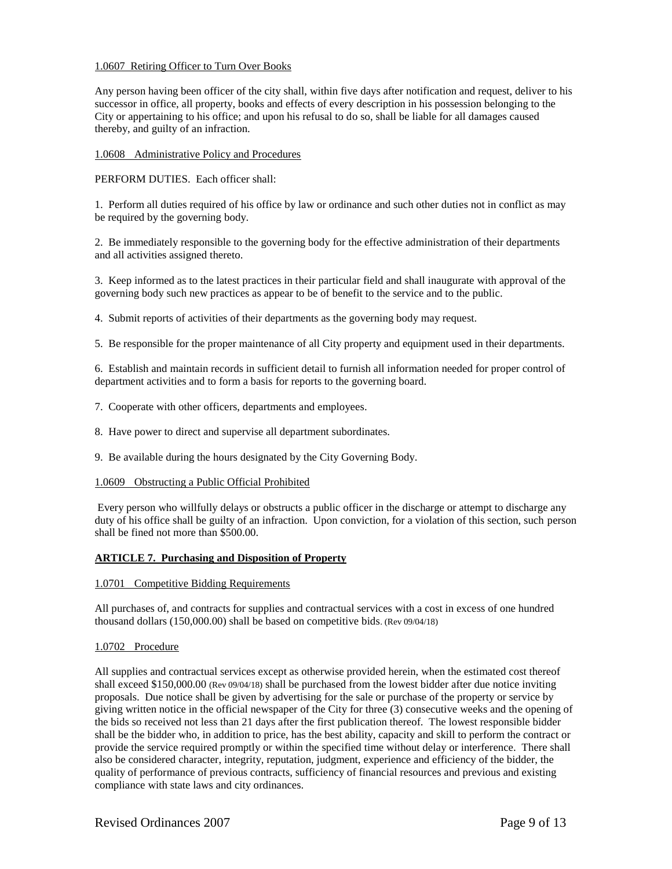## 1.0607 Retiring Officer to Turn Over Books

Any person having been officer of the city shall, within five days after notification and request, deliver to his successor in office, all property, books and effects of every description in his possession belonging to the City or appertaining to his office; and upon his refusal to do so, shall be liable for all damages caused thereby, and guilty of an infraction.

## 1.0608 Administrative Policy and Procedures

PERFORM DUTIES. Each officer shall:

1. Perform all duties required of his office by law or ordinance and such other duties not in conflict as may be required by the governing body.

2. Be immediately responsible to the governing body for the effective administration of their departments and all activities assigned thereto.

3. Keep informed as to the latest practices in their particular field and shall inaugurate with approval of the governing body such new practices as appear to be of benefit to the service and to the public.

4. Submit reports of activities of their departments as the governing body may request.

5. Be responsible for the proper maintenance of all City property and equipment used in their departments.

6. Establish and maintain records in sufficient detail to furnish all information needed for proper control of department activities and to form a basis for reports to the governing board.

7. Cooperate with other officers, departments and employees.

8. Have power to direct and supervise all department subordinates.

9. Be available during the hours designated by the City Governing Body.

### 1.0609 Obstructing a Public Official Prohibited

Every person who willfully delays or obstructs a public officer in the discharge or attempt to discharge any duty of his office shall be guilty of an infraction. Upon conviction, for a violation of this section, such person shall be fined not more than \$500.00.

# **ARTICLE 7. Purchasing and Disposition of Property**

### 1.0701 Competitive Bidding Requirements

All purchases of, and contracts for supplies and contractual services with a cost in excess of one hundred thousand dollars (150,000.00) shall be based on competitive bids. (Rev 09/04/18)

### 1.0702 Procedure

All supplies and contractual services except as otherwise provided herein, when the estimated cost thereof shall exceed \$150,000.00 (Rev 09/04/18) shall be purchased from the lowest bidder after due notice inviting proposals. Due notice shall be given by advertising for the sale or purchase of the property or service by giving written notice in the official newspaper of the City for three (3) consecutive weeks and the opening of the bids so received not less than 21 days after the first publication thereof. The lowest responsible bidder shall be the bidder who, in addition to price, has the best ability, capacity and skill to perform the contract or provide the service required promptly or within the specified time without delay or interference. There shall also be considered character, integrity, reputation, judgment, experience and efficiency of the bidder, the quality of performance of previous contracts, sufficiency of financial resources and previous and existing compliance with state laws and city ordinances.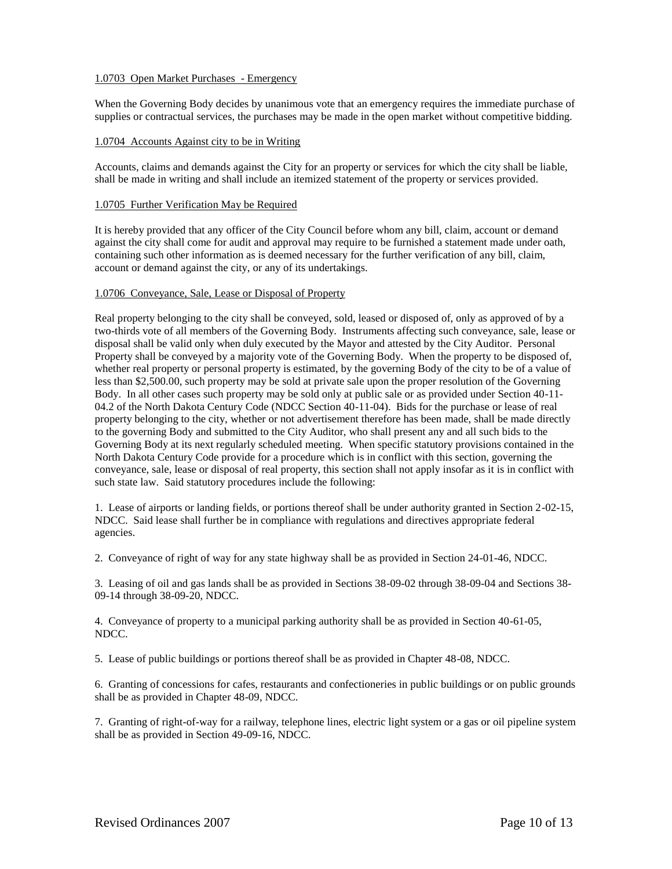## 1.0703 Open Market Purchases - Emergency

When the Governing Body decides by unanimous vote that an emergency requires the immediate purchase of supplies or contractual services, the purchases may be made in the open market without competitive bidding.

## 1.0704 Accounts Against city to be in Writing

Accounts, claims and demands against the City for an property or services for which the city shall be liable, shall be made in writing and shall include an itemized statement of the property or services provided.

### 1.0705 Further Verification May be Required

It is hereby provided that any officer of the City Council before whom any bill, claim, account or demand against the city shall come for audit and approval may require to be furnished a statement made under oath, containing such other information as is deemed necessary for the further verification of any bill, claim, account or demand against the city, or any of its undertakings.

### 1.0706 Conveyance, Sale, Lease or Disposal of Property

Real property belonging to the city shall be conveyed, sold, leased or disposed of, only as approved of by a two-thirds vote of all members of the Governing Body. Instruments affecting such conveyance, sale, lease or disposal shall be valid only when duly executed by the Mayor and attested by the City Auditor. Personal Property shall be conveyed by a majority vote of the Governing Body. When the property to be disposed of, whether real property or personal property is estimated, by the governing Body of the city to be of a value of less than \$2,500.00, such property may be sold at private sale upon the proper resolution of the Governing Body. In all other cases such property may be sold only at public sale or as provided under Section 40-11- 04.2 of the North Dakota Century Code (NDCC Section 40-11-04). Bids for the purchase or lease of real property belonging to the city, whether or not advertisement therefore has been made, shall be made directly to the governing Body and submitted to the City Auditor, who shall present any and all such bids to the Governing Body at its next regularly scheduled meeting. When specific statutory provisions contained in the North Dakota Century Code provide for a procedure which is in conflict with this section, governing the conveyance, sale, lease or disposal of real property, this section shall not apply insofar as it is in conflict with such state law. Said statutory procedures include the following:

1. Lease of airports or landing fields, or portions thereof shall be under authority granted in Section 2-02-15, NDCC. Said lease shall further be in compliance with regulations and directives appropriate federal agencies.

2. Conveyance of right of way for any state highway shall be as provided in Section 24-01-46, NDCC.

3. Leasing of oil and gas lands shall be as provided in Sections 38-09-02 through 38-09-04 and Sections 38- 09-14 through 38-09-20, NDCC.

4. Conveyance of property to a municipal parking authority shall be as provided in Section 40-61-05, NDCC.

5. Lease of public buildings or portions thereof shall be as provided in Chapter 48-08, NDCC.

6. Granting of concessions for cafes, restaurants and confectioneries in public buildings or on public grounds shall be as provided in Chapter 48-09, NDCC.

7. Granting of right-of-way for a railway, telephone lines, electric light system or a gas or oil pipeline system shall be as provided in Section 49-09-16, NDCC.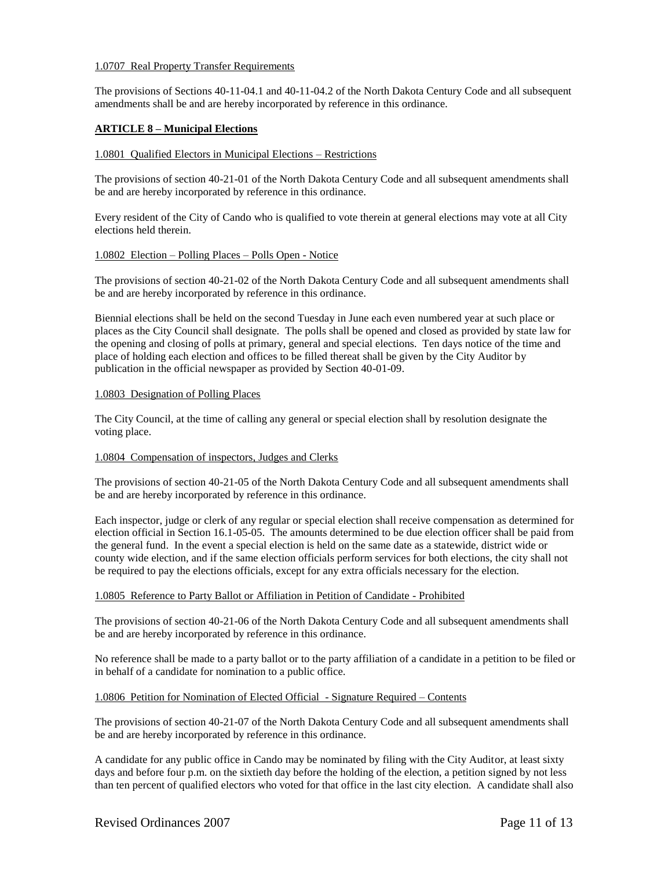## 1.0707 Real Property Transfer Requirements

The provisions of Sections 40-11-04.1 and 40-11-04.2 of the North Dakota Century Code and all subsequent amendments shall be and are hereby incorporated by reference in this ordinance.

## **ARTICLE 8 – Municipal Elections**

### 1.0801 Qualified Electors in Municipal Elections – Restrictions

The provisions of section 40-21-01 of the North Dakota Century Code and all subsequent amendments shall be and are hereby incorporated by reference in this ordinance.

Every resident of the City of Cando who is qualified to vote therein at general elections may vote at all City elections held therein.

### 1.0802 Election – Polling Places – Polls Open - Notice

The provisions of section 40-21-02 of the North Dakota Century Code and all subsequent amendments shall be and are hereby incorporated by reference in this ordinance.

Biennial elections shall be held on the second Tuesday in June each even numbered year at such place or places as the City Council shall designate. The polls shall be opened and closed as provided by state law for the opening and closing of polls at primary, general and special elections. Ten days notice of the time and place of holding each election and offices to be filled thereat shall be given by the City Auditor by publication in the official newspaper as provided by Section 40-01-09.

## 1.0803 Designation of Polling Places

The City Council, at the time of calling any general or special election shall by resolution designate the voting place.

### 1.0804 Compensation of inspectors, Judges and Clerks

The provisions of section 40-21-05 of the North Dakota Century Code and all subsequent amendments shall be and are hereby incorporated by reference in this ordinance.

Each inspector, judge or clerk of any regular or special election shall receive compensation as determined for election official in Section 16.1-05-05. The amounts determined to be due election officer shall be paid from the general fund. In the event a special election is held on the same date as a statewide, district wide or county wide election, and if the same election officials perform services for both elections, the city shall not be required to pay the elections officials, except for any extra officials necessary for the election.

### 1.0805 Reference to Party Ballot or Affiliation in Petition of Candidate - Prohibited

The provisions of section 40-21-06 of the North Dakota Century Code and all subsequent amendments shall be and are hereby incorporated by reference in this ordinance.

No reference shall be made to a party ballot or to the party affiliation of a candidate in a petition to be filed or in behalf of a candidate for nomination to a public office.

### 1.0806 Petition for Nomination of Elected Official - Signature Required – Contents

The provisions of section 40-21-07 of the North Dakota Century Code and all subsequent amendments shall be and are hereby incorporated by reference in this ordinance.

A candidate for any public office in Cando may be nominated by filing with the City Auditor, at least sixty days and before four p.m. on the sixtieth day before the holding of the election, a petition signed by not less than ten percent of qualified electors who voted for that office in the last city election. A candidate shall also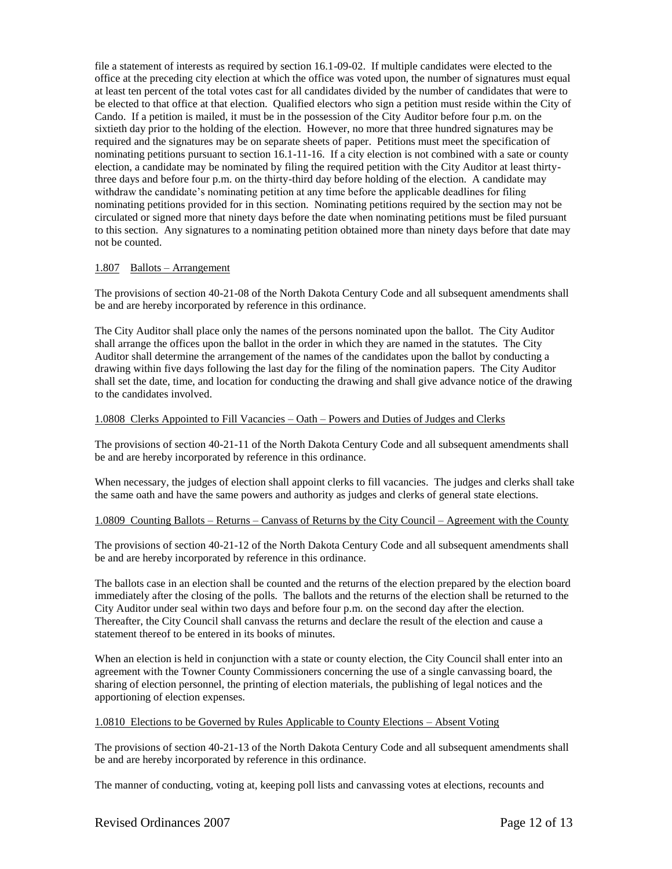file a statement of interests as required by section 16.1-09-02. If multiple candidates were elected to the office at the preceding city election at which the office was voted upon, the number of signatures must equal at least ten percent of the total votes cast for all candidates divided by the number of candidates that were to be elected to that office at that election. Qualified electors who sign a petition must reside within the City of Cando. If a petition is mailed, it must be in the possession of the City Auditor before four p.m. on the sixtieth day prior to the holding of the election. However, no more that three hundred signatures may be required and the signatures may be on separate sheets of paper. Petitions must meet the specification of nominating petitions pursuant to section 16.1-11-16. If a city election is not combined with a sate or county election, a candidate may be nominated by filing the required petition with the City Auditor at least thirtythree days and before four p.m. on the thirty-third day before holding of the election. A candidate may withdraw the candidate's nominating petition at any time before the applicable deadlines for filing nominating petitions provided for in this section. Nominating petitions required by the section may not be circulated or signed more that ninety days before the date when nominating petitions must be filed pursuant to this section. Any signatures to a nominating petition obtained more than ninety days before that date may not be counted.

## 1.807 Ballots – Arrangement

The provisions of section 40-21-08 of the North Dakota Century Code and all subsequent amendments shall be and are hereby incorporated by reference in this ordinance.

The City Auditor shall place only the names of the persons nominated upon the ballot. The City Auditor shall arrange the offices upon the ballot in the order in which they are named in the statutes. The City Auditor shall determine the arrangement of the names of the candidates upon the ballot by conducting a drawing within five days following the last day for the filing of the nomination papers. The City Auditor shall set the date, time, and location for conducting the drawing and shall give advance notice of the drawing to the candidates involved.

### 1.0808 Clerks Appointed to Fill Vacancies – Oath – Powers and Duties of Judges and Clerks

The provisions of section 40-21-11 of the North Dakota Century Code and all subsequent amendments shall be and are hereby incorporated by reference in this ordinance.

When necessary, the judges of election shall appoint clerks to fill vacancies. The judges and clerks shall take the same oath and have the same powers and authority as judges and clerks of general state elections.

### 1.0809 Counting Ballots – Returns – Canvass of Returns by the City Council – Agreement with the County

The provisions of section 40-21-12 of the North Dakota Century Code and all subsequent amendments shall be and are hereby incorporated by reference in this ordinance.

The ballots case in an election shall be counted and the returns of the election prepared by the election board immediately after the closing of the polls. The ballots and the returns of the election shall be returned to the City Auditor under seal within two days and before four p.m. on the second day after the election. Thereafter, the City Council shall canvass the returns and declare the result of the election and cause a statement thereof to be entered in its books of minutes.

When an election is held in conjunction with a state or county election, the City Council shall enter into an agreement with the Towner County Commissioners concerning the use of a single canvassing board, the sharing of election personnel, the printing of election materials, the publishing of legal notices and the apportioning of election expenses.

### 1.0810 Elections to be Governed by Rules Applicable to County Elections – Absent Voting

The provisions of section 40-21-13 of the North Dakota Century Code and all subsequent amendments shall be and are hereby incorporated by reference in this ordinance.

The manner of conducting, voting at, keeping poll lists and canvassing votes at elections, recounts and